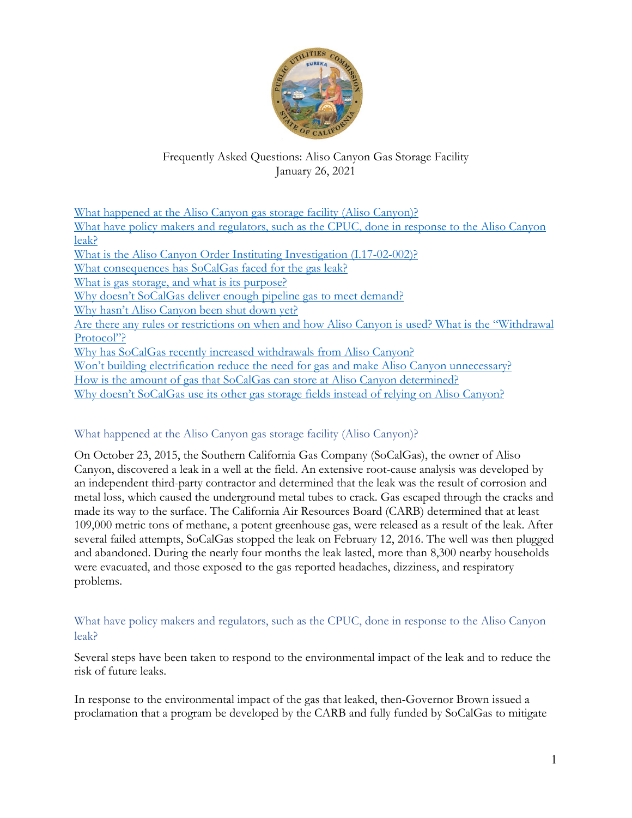

# Frequently Asked Questions: Aliso Canyon Gas Storage Facility January 26, 2021

| What happened at the Aliso Canyon gas storage facility (Aliso Canyon)?                            |
|---------------------------------------------------------------------------------------------------|
| What have policy makers and regulators, such as the CPUC, done in response to the Aliso Canyon    |
| leak?                                                                                             |
| What is the Aliso Canyon Order Instituting Investigation (I.17-02-002)?                           |
| What consequences has SoCalGas faced for the gas leak?                                            |
| What is gas storage, and what is its purpose?                                                     |
| Why doesn't SoCalGas deliver enough pipeline gas to meet demand?                                  |
| Why hasn't Aliso Canyon been shut down yet?                                                       |
| Are there any rules or restrictions on when and how Aliso Canyon is used? What is the "Withdrawal |
| Protocol"?                                                                                        |
| Why has SoCalGas recently increased withdrawals from Aliso Canyon?                                |
| Won't building electrification reduce the need for gas and make Aliso Canyon unnecessary?         |
| How is the amount of gas that SoCalGas can store at Aliso Canyon determined?                      |
| Why doesn't SoCalGas use its other gas storage fields instead of relying on Aliso Canyon?         |
|                                                                                                   |

# <span id="page-0-0"></span>What happened at the Aliso Canyon gas storage facility (Aliso Canyon)?

On October 23, 2015, the Southern California Gas Company (SoCalGas), the owner of Aliso Canyon, discovered a leak in a well at the field. An extensive root-cause analysis was developed by an independent third-party contractor and determined that the leak was the result of corrosion and metal loss, which caused the underground metal tubes to crack. Gas escaped through the cracks and made its way to the surface. The California Air Resources Board (CARB) determined that at least 109,000 metric tons of methane, a potent greenhouse gas, were released as a result of the leak. After several failed attempts, SoCalGas stopped the leak on February 12, 2016. The well was then plugged and abandoned. During the nearly four months the leak lasted, more than 8,300 nearby households were evacuated, and those exposed to the gas reported headaches, dizziness, and respiratory problems.

## <span id="page-0-1"></span>What have policy makers and regulators, such as the CPUC, done in response to the Aliso Canyon leak?

Several steps have been taken to respond to the environmental impact of the leak and to reduce the risk of future leaks.

In response to the environmental impact of the gas that leaked, then-Governor Brown issued a proclamation that a program be developed by the CARB and fully funded by SoCalGas to mitigate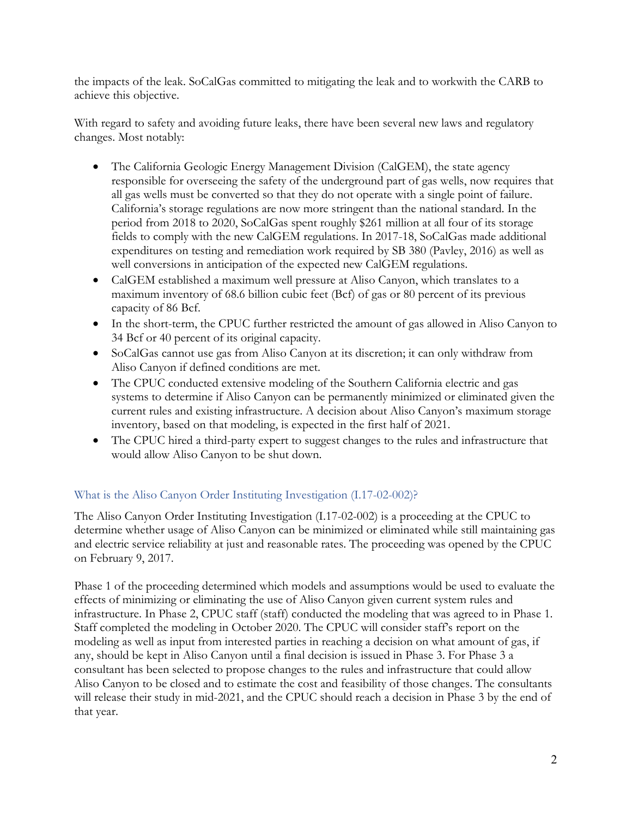the impacts of the leak. SoCalGas committed to mitigating the leak and to workwith the CARB to achieve this objective.

With regard to safety and avoiding future leaks, there have been several new laws and regulatory changes. Most notably:

- The California Geologic Energy Management Division (CalGEM), the state agency responsible for overseeing the safety of the underground part of gas wells, now requires that all gas wells must be converted so that they do not operate with a single point of failure. California's storage regulations are now more stringent than the national standard. In the period from 2018 to 2020, SoCalGas spent roughly \$261 million at all four of its storage fields to comply with the new CalGEM regulations. In 2017-18, SoCalGas made additional expenditures on testing and remediation work required by SB 380 (Pavley, 2016) as well as well conversions in anticipation of the expected new CalGEM regulations.
- CalGEM established a maximum well pressure at Aliso Canyon, which translates to a maximum inventory of 68.6 billion cubic feet (Bcf) of gas or 80 percent of its previous capacity of 86 Bcf.
- In the short-term, the CPUC further restricted the amount of gas allowed in Aliso Canyon to 34 Bcf or 40 percent of its original capacity.
- SoCalGas cannot use gas from Aliso Canyon at its discretion; it can only withdraw from Aliso Canyon if defined conditions are met.
- The CPUC conducted extensive modeling of the Southern California electric and gas systems to determine if Aliso Canyon can be permanently minimized or eliminated given the current rules and existing infrastructure. A decision about Aliso Canyon's maximum storage inventory, based on that modeling, is expected in the first half of 2021.
- The CPUC hired a third-party expert to suggest changes to the rules and infrastructure that would allow Aliso Canyon to be shut down.

## <span id="page-1-0"></span>What is the Aliso Canyon Order Instituting Investigation (I.17-02-002)?

The Aliso Canyon Order Instituting Investigation (I.17-02-002) is a proceeding at the CPUC to determine whether usage of Aliso Canyon can be minimized or eliminated while still maintaining gas and electric service reliability at just and reasonable rates. The proceeding was opened by the CPUC on February 9, 2017.

Phase 1 of the proceeding determined which models and assumptions would be used to evaluate the effects of minimizing or eliminating the use of Aliso Canyon given current system rules and infrastructure. In Phase 2, CPUC staff (staff) conducted the modeling that was agreed to in Phase 1. Staff completed the modeling in October 2020. The CPUC will consider staff's report on the modeling as well as input from interested parties in reaching a decision on what amount of gas, if any, should be kept in Aliso Canyon until a final decision is issued in Phase 3. For Phase 3 a consultant has been selected to propose changes to the rules and infrastructure that could allow Aliso Canyon to be closed and to estimate the cost and feasibility of those changes. The consultants will release their study in mid-2021, and the CPUC should reach a decision in Phase 3 by the end of that year.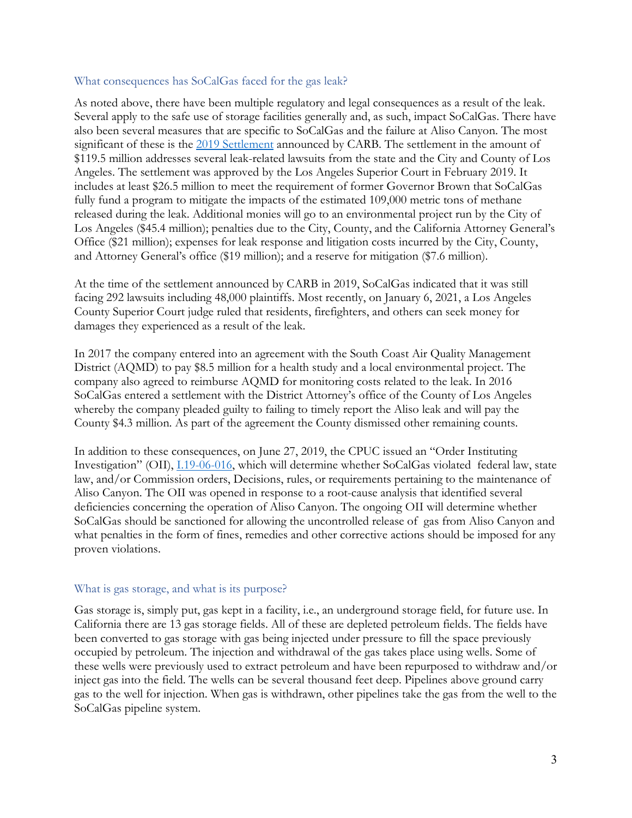#### <span id="page-2-0"></span>What consequences has SoCalGas faced for the gas leak?

As noted above, there have been multiple regulatory and legal consequences as a result of the leak. Several apply to the safe use of storage facilities generally and, as such, impact SoCalGas. There have also been several measures that are specific to SoCalGas and the failure at Aliso Canyon. The most significant of these is the 2019 [Settlement](https://ww2.arb.ca.gov/news/carb-announces-1195-million-settlement-socal-gas-over-aliso-canyon-natural-gas-leak) announced by CARB. The settlement in the amount of \$119.5 million addresses several leak-related lawsuits from the state and the City and County of Los Angeles. The settlement was approved by the Los Angeles Superior Court in February 2019. It includes at least \$26.5 million to meet the requirement of former Governor Brown that SoCalGas fully fund a program to mitigate the impacts of the estimated 109,000 metric tons of methane released during the leak. Additional monies will go to an environmental project run by the City of Los Angeles (\$45.4 million); penalties due to the City, County, and the California Attorney General's Office (\$21 million); expenses for leak response and litigation costs incurred by the City, County, and Attorney General's office (\$19 million); and a reserve for mitigation (\$7.6 million).

At the time of the settlement announced by CARB in 2019, SoCalGas indicated that it was still facing 292 lawsuits including 48,000 plaintiffs. Most recently, on January 6, 2021, a Los Angeles County Superior Court judge ruled that residents, firefighters, and others can seek money for damages they experienced as a result of the leak.

In 2017 the company entered into an agreement with the South Coast Air Quality Management District (AQMD) to pay \$8.5 million for a health study and a local environmental project. The company also agreed to reimburse AQMD for monitoring costs related to the leak. In 2016 SoCalGas entered a settlement with the District Attorney's office of the County of Los Angeles whereby the company pleaded guilty to failing to timely report the Aliso leak and will pay the County \$4.3 million. As part of the agreement the County dismissed other remaining counts.

In addition to these consequences, on June 27, 2019, the CPUC issued an "Order Instituting Investigation" (OII), [I.19-06-016,](https://docs.cpuc.ca.gov/PublishedDocs/Published/G000/M306/K041/306041251.PDF) which will determine whether SoCalGas violated federal law, state law, and/or Commission orders, Decisions, rules, or requirements pertaining to the maintenance of Aliso Canyon. The OII was opened in response to a root-cause analysis that identified several deficiencies concerning the operation of Aliso Canyon. The ongoing OII will determine whether SoCalGas should be sanctioned for allowing the uncontrolled release of gas from Aliso Canyon and what penalties in the form of fines, remedies and other corrective actions should be imposed for any proven violations.

#### <span id="page-2-1"></span>What is gas storage, and what is its purpose?

Gas storage is, simply put, gas kept in a facility, i.e., an underground storage field, for future use. In California there are 13 gas storage fields. All of these are depleted petroleum fields. The fields have been converted to gas storage with gas being injected under pressure to fill the space previously occupied by petroleum. The injection and withdrawal of the gas takes place using wells. Some of these wells were previously used to extract petroleum and have been repurposed to withdraw and/or inject gas into the field. The wells can be several thousand feet deep. Pipelines above ground carry gas to the well for injection. When gas is withdrawn, other pipelines take the gas from the well to the SoCalGas pipeline system.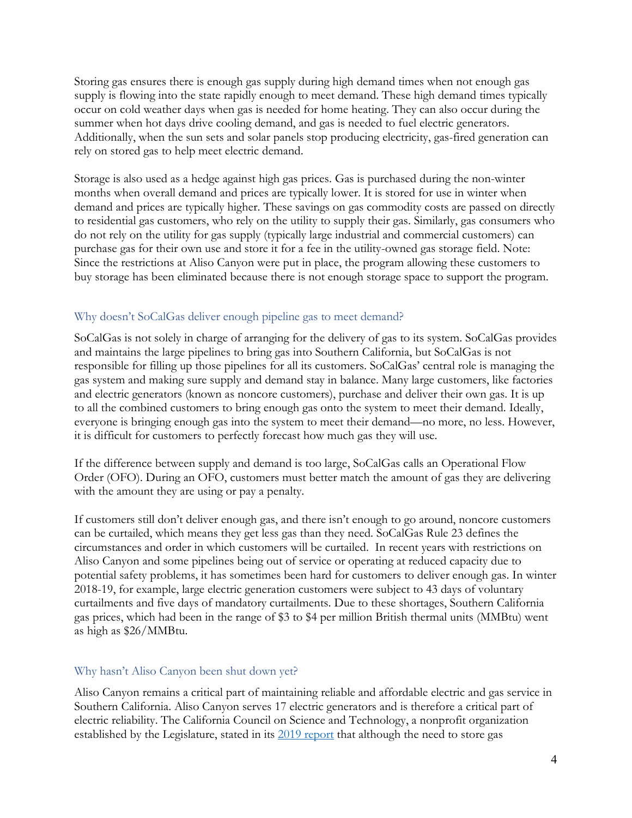Storing gas ensures there is enough gas supply during high demand times when not enough gas supply is flowing into the state rapidly enough to meet demand. These high demand times typically occur on cold weather days when gas is needed for home heating. They can also occur during the summer when hot days drive cooling demand, and gas is needed to fuel electric generators. Additionally, when the sun sets and solar panels stop producing electricity, gas-fired generation can rely on stored gas to help meet electric demand.

Storage is also used as a hedge against high gas prices. Gas is purchased during the non-winter months when overall demand and prices are typically lower. It is stored for use in winter when demand and prices are typically higher. These savings on gas commodity costs are passed on directly to residential gas customers, who rely on the utility to supply their gas. Similarly, gas consumers who do not rely on the utility for gas supply (typically large industrial and commercial customers) can purchase gas for their own use and store it for a fee in the utility-owned gas storage field. Note: Since the restrictions at Aliso Canyon were put in place, the program allowing these customers to buy storage has been eliminated because there is not enough storage space to support the program.

## <span id="page-3-0"></span>Why doesn't SoCalGas deliver enough pipeline gas to meet demand?

SoCalGas is not solely in charge of arranging for the delivery of gas to its system. SoCalGas provides and maintains the large pipelines to bring gas into Southern California, but SoCalGas is not responsible for filling up those pipelines for all its customers. SoCalGas' central role is managing the gas system and making sure supply and demand stay in balance. Many large customers, like factories and electric generators (known as noncore customers), purchase and deliver their own gas. It is up to all the combined customers to bring enough gas onto the system to meet their demand. Ideally, everyone is bringing enough gas into the system to meet their demand—no more, no less. However, it is difficult for customers to perfectly forecast how much gas they will use.

If the difference between supply and demand is too large, SoCalGas calls an Operational Flow Order (OFO). During an OFO, customers must better match the amount of gas they are delivering with the amount they are using or pay a penalty.

If customers still don't deliver enough gas, and there isn't enough to go around, noncore customers can be curtailed, which means they get less gas than they need. SoCalGas Rule 23 defines the circumstances and order in which customers will be curtailed. In recent years with restrictions on Aliso Canyon and some pipelines being out of service or operating at reduced capacity due to potential safety problems, it has sometimes been hard for customers to deliver enough gas. In winter 2018-19, for example, large electric generation customers were subject to 43 days of voluntary curtailments and five days of mandatory curtailments. Due to these shortages, Southern California gas prices, which had been in the range of \$3 to \$4 per million British thermal units (MMBtu) went as high as \$26/MMBtu.

## <span id="page-3-1"></span>Why hasn't Aliso Canyon been shut down yet?

Aliso Canyon remains a critical part of maintaining reliable and affordable electric and gas service in Southern California. Aliso Canyon serves 17 electric generators and is therefore a critical part of electric reliability. The California Council on Science and Technology, a nonprofit organization established by the Legislature, stated in its [2019 report](https://ccst.us/reports/long-term-viability-of-underground-natural-gas-storage-in-california-an-independent-review-of-scientific-and-technical-information/) that although the need to store gas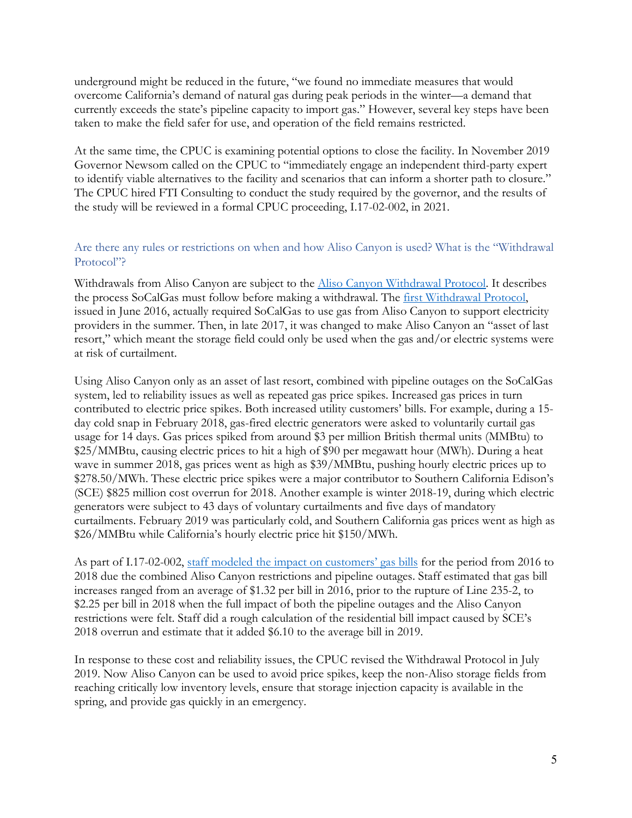underground might be reduced in the future, "we found no immediate measures that would overcome California's demand of natural gas during peak periods in the winter—a demand that currently exceeds the state's pipeline capacity to import gas." However, several key steps have been taken to make the field safer for use, and operation of the field remains restricted.

At the same time, the CPUC is examining potential options to close the facility. In November 2019 Governor Newsom called on the CPUC to "immediately engage an independent third-party expert to identify viable alternatives to the facility and scenarios that can inform a shorter path to closure." The CPUC hired FTI Consulting to conduct the study required by the governor, and the results of the study will be reviewed in a formal CPUC proceeding, I.17-02-002, in 2021.

## <span id="page-4-0"></span>Are there any rules or restrictions on when and how Aliso Canyon is used? What is the "Withdrawal Protocol"?

Withdrawals from Aliso Canyon are subject to the **Aliso Canyon Withdrawal Protocol**. It describes the process SoCalGas must follow before making a withdrawal. The *first Withdrawal Protocol*, issued in June 2016, actually required SoCalGas to use gas from Aliso Canyon to support electricity providers in the summer. Then, in late 2017, it was changed to make Aliso Canyon an "asset of last resort," which meant the storage field could only be used when the gas and/or electric systems were at risk of curtailment.

Using Aliso Canyon only as an asset of last resort, combined with pipeline outages on the SoCalGas system, led to reliability issues as well as repeated gas price spikes. Increased gas prices in turn contributed to electric price spikes. Both increased utility customers' bills. For example, during a 15 day cold snap in February 2018, gas-fired electric generators were asked to voluntarily curtail gas usage for 14 days. Gas prices spiked from around \$3 per million British thermal units (MMBtu) to \$25/MMBtu, causing electric prices to hit a high of \$90 per megawatt hour (MWh). During a heat wave in summer 2018, gas prices went as high as \$39/MMBtu, pushing hourly electric prices up to \$278.50/MWh. These electric price spikes were a major contributor to Southern California Edison's (SCE) \$825 million cost overrun for 2018. Another example is winter 2018-19, during which electric generators were subject to 43 days of voluntary curtailments and five days of mandatory curtailments. February 2019 was particularly cold, and Southern California gas prices went as high as \$26/MMBtu while California's hourly electric price hit \$150/MWh.

As part of I.17-02-002, [staff modeled the impact](https://docs.cpuc.ca.gov/PublishedDocs/Efile/G000/M349/K793/349793504.PDF) on customers' gas bills for the period from 2016 to 2018 due the combined Aliso Canyon restrictions and pipeline outages. Staff estimated that gas bill increases ranged from an average of \$1.32 per bill in 2016, prior to the rupture of Line 235-2, to \$2.25 per bill in 2018 when the full impact of both the pipeline outages and the Aliso Canyon restrictions were felt. Staff did a rough calculation of the residential bill impact caused by SCE's 2018 overrun and estimate that it added \$6.10 to the average bill in 2019.

In response to these cost and reliability issues, the CPUC revised the Withdrawal Protocol in July 2019. Now Aliso Canyon can be used to avoid price spikes, keep the non-Aliso storage fields from reaching critically low inventory levels, ensure that storage injection capacity is available in the spring, and provide gas quickly in an emergency.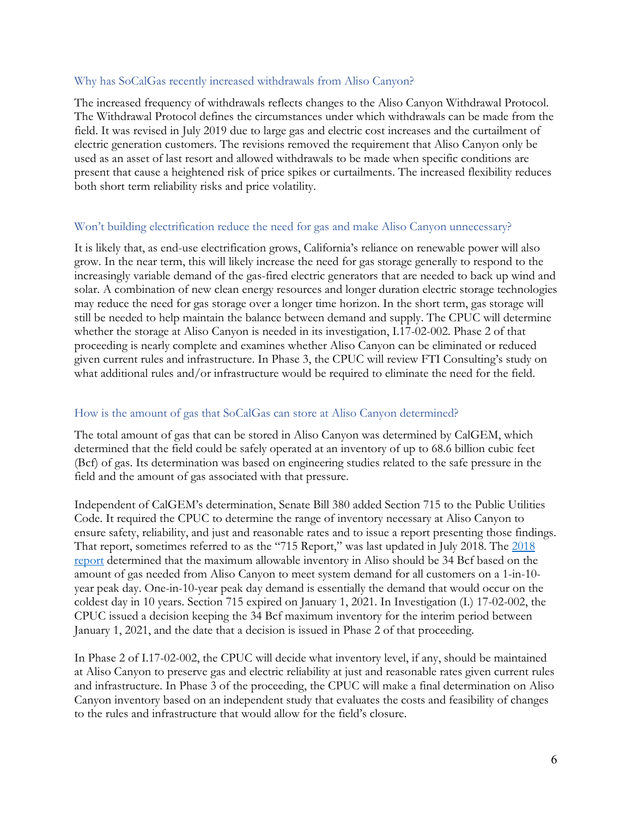#### <span id="page-5-0"></span>Why has SoCalGas recently increased withdrawals from Aliso Canyon?

The increased frequency of withdrawals reflects changes to the Aliso Canyon Withdrawal Protocol. The Withdrawal Protocol defines the circumstances under which withdrawals can be made from the field. It was revised in July 2019 due to large gas and electric cost increases and the curtailment of electric generation customers. The revisions removed the requirement that Aliso Canyon only be used as an asset of last resort and allowed withdrawals to be made when specific conditions are present that cause a heightened risk of price spikes or curtailments. The increased flexibility reduces both short term reliability risks and price volatility.

### <span id="page-5-1"></span>Won't building electrification reduce the need for gas and make Aliso Canyon unnecessary?

It is likely that, as end-use electrification grows, California's reliance on renewable power will also grow. In the near term, this will likely increase the need for gas storage generally to respond to the increasingly variable demand of the gas-fired electric generators that are needed to back up wind and solar. A combination of new clean energy resources and longer duration electric storage technologies may reduce the need for gas storage over a longer time horizon. In the short term, gas storage will still be needed to help maintain the balance between demand and supply. The CPUC will determine whether the storage at Aliso Canyon is needed in its investigation, I.17-02-002. Phase 2 of that proceeding is nearly complete and examines whether Aliso Canyon can be eliminated or reduced given current rules and infrastructure. In Phase 3, the CPUC will review FTI Consulting's study on what additional rules and/or infrastructure would be required to eliminate the need for the field.

## <span id="page-5-2"></span>How is the amount of gas that SoCalGas can store at Aliso Canyon determined?

The total amount of gas that can be stored in Aliso Canyon was determined by CalGEM, which determined that the field could be safely operated at an inventory of up to 68.6 billion cubic feet (Bcf) of gas. Its determination was based on engineering studies related to the safe pressure in the field and the amount of gas associated with that pressure.

Independent of CalGEM's determination, Senate Bill 380 added Section 715 to the Public Utilities Code. It required the CPUC to determine the range of inventory necessary at Aliso Canyon to ensure safety, reliability, and just and reasonable rates and to issue a report presenting those findings. That report, sometimes referred to as the "715 Report," was last updated in July 2018. The [2018](https://www.cpuc.ca.gov/uploadedFiles/CPUC_Public_Website/Content/News_Room/715Report_Summer2018_Final.pdf)  [report](https://www.cpuc.ca.gov/uploadedFiles/CPUC_Public_Website/Content/News_Room/715Report_Summer2018_Final.pdf) determined that the maximum allowable inventory in Aliso should be 34 Bcf based on the amount of gas needed from Aliso Canyon to meet system demand for all customers on a 1-in-10 year peak day. One-in-10-year peak day demand is essentially the demand that would occur on the coldest day in 10 years. Section 715 expired on January 1, 2021. In Investigation (I.) 17-02-002, the CPUC issued a decision keeping the 34 Bcf maximum inventory for the interim period between January 1, 2021, and the date that a decision is issued in Phase 2 of that proceeding.

In Phase 2 of I.17-02-002, the CPUC will decide what inventory level, if any, should be maintained at Aliso Canyon to preserve gas and electric reliability at just and reasonable rates given current rules and infrastructure. In Phase 3 of the proceeding, the CPUC will make a final determination on Aliso Canyon inventory based on an independent study that evaluates the costs and feasibility of changes to the rules and infrastructure that would allow for the field's closure.